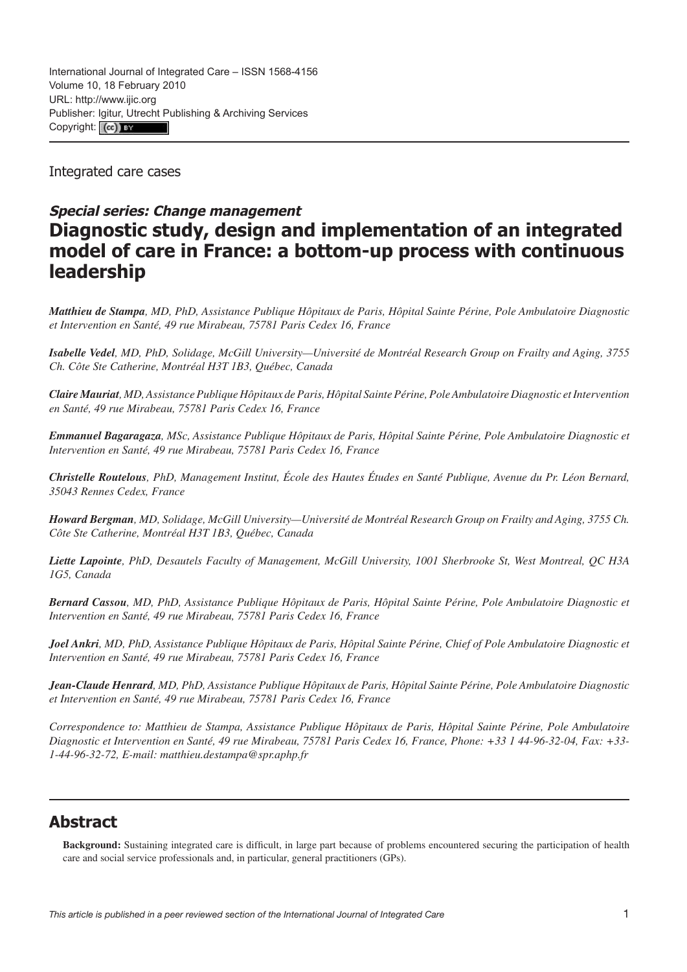Integrated care cases

# **Special series: Change management Diagnostic study, design and implementation of an integrated model of care in France: a bottom-up process with continuous leadership**

*Matthieu de Stampa, MD, PhD, Assistance Publique Hôpitaux de Paris, Hôpital Sainte Périne, Pole Ambulatoire Diagnostic et Intervention en Santé, 49 rue Mirabeau, 75781 Paris Cedex 16, France*

*Isabelle Vedel, MD, PhD, Solidage, McGill University—Université de Montréal Research Group on Frailty and Aging, 3755 Ch. Côte Ste Catherine, Montréal H3T 1B3, Québec, Canada*

*Claire Mauriat, MD, Assistance Publique Hôpitaux de Paris, Hôpital Sainte Périne, Pole Ambulatoire Diagnostic et Intervention en Santé, 49 rue Mirabeau, 75781 Paris Cedex 16, France*

*Emmanuel Bagaragaza, MSc, Assistance Publique Hôpitaux de Paris, Hôpital Sainte Périne, Pole Ambulatoire Diagnostic et Intervention en Santé, 49 rue Mirabeau, 75781 Paris Cedex 16, France*

*Christelle Routelous, PhD, Management Institut, École des Hautes Études en Santé Publique, Avenue du Pr. Léon Bernard, 35043 Rennes Cedex, France*

*Howard Bergman, MD, Solidage, McGill University—Université de Montréal Research Group on Frailty and Aging, 3755 Ch. Côte Ste Catherine, Montréal H3T 1B3, Québec, Canada*

*Liette Lapointe, PhD, Desautels Faculty of Management, McGill University, 1001 Sherbrooke St, West Montreal, QC H3A 1G5, Canada*

*Bernard Cassou, MD, PhD, Assistance Publique Hôpitaux de Paris, Hôpital Sainte Périne, Pole Ambulatoire Diagnostic et Intervention en Santé, 49 rue Mirabeau, 75781 Paris Cedex 16, France*

*Joel Ankri, MD, PhD, Assistance Publique Hôpitaux de Paris, Hôpital Sainte Périne, Chief of Pole Ambulatoire Diagnostic et Intervention en Santé, 49 rue Mirabeau, 75781 Paris Cedex 16, France*

*Jean-Claude Henrard, MD, PhD, Assistance Publique Hôpitaux de Paris, Hôpital Sainte Périne, Pole Ambulatoire Diagnostic et Intervention en Santé, 49 rue Mirabeau, 75781 Paris Cedex 16, France*

*Correspondence to: Matthieu de Stampa, Assistance Publique Hôpitaux de Paris, Hôpital Sainte Périne, Pole Ambulatoire Diagnostic et Intervention en Santé, 49 rue Mirabeau, 75781 Paris Cedex 16, France, Phone: +33 1 44-96-32-04, Fax: +33- 1-44-96-32-72, E-mail: [matthieu.destampa@spr.aphp.fr](mailto:matthieu.destampa@spr.aphp.fr)*

# **Abstract**

**Background:** Sustaining integrated care is difficult, in large part because of problems encountered securing the participation of health care and social service professionals and, in particular, general practitioners (GPs).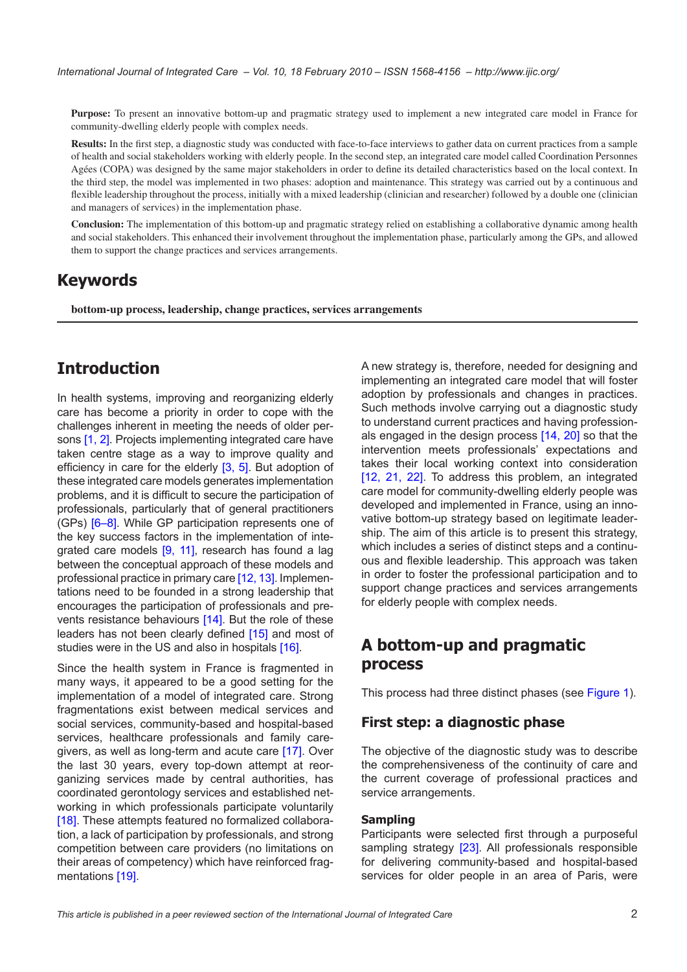**Purpose:** To present an innovative bottom-up and pragmatic strategy used to implement a new integrated care model in France for community-dwelling elderly people with complex needs.

**Results:** In the first step, a diagnostic study was conducted with face-to-face interviews to gather data on current practices from a sample of health and social stakeholders working with elderly people. In the second step, an integrated care model called Coordination Personnes Agées (COPA) was designed by the same major stakeholders in order to define its detailed characteristics based on the local context. In the third step, the model was implemented in two phases: adoption and maintenance. This strategy was carried out by a continuous and flexible leadership throughout the process, initially with a mixed leadership (clinician and researcher) followed by a double one (clinician and managers of services) in the implementation phase.

**Conclusion:** The implementation of this bottom-up and pragmatic strategy relied on establishing a collaborative dynamic among health and social stakeholders. This enhanced their involvement throughout the implementation phase, particularly among the GPs, and allowed them to support the change practices and services arrangements.

# **Keywords**

**bottom-up process, leadership, change practices, services arrangements**

# **Introduction**

In health systems, improving and reorganizing elderly care has become a priority in order to cope with the challenges inherent in meeting the needs of older persons [[1](#page-8-0), [2](#page-8-0)]. Projects implementing integrated care have taken centre stage as a way to improve quality and efficiency in care for the elderly [\[3,](#page-8-0) [5](#page-8-0)]. But adoption of these integrated care models generates implementation problems, and it is difficult to secure the participation of professionals, particularly that of general practitioners (GPs) [[6](#page-8-0)–[8](#page-8-0)]. While GP participation represents one of the key success factors in the implementation of inte-grated care models [\[9,](#page-8-0) [11\]](#page-8-0), research has found a lag between the conceptual approach of these models and professional practice in primary care [[12, 13](#page-8-0)]. Implementations need to be founded in a strong leadership that encourages the participation of professionals and prevents resistance behaviours [[14\]](#page-9-0). But the role of these leaders has not been clearly defined [[15\]](#page-9-0) and most of studies were in the US and also in hospitals [\[16](#page-9-0)].

Since the health system in France is fragmented in many ways, it appeared to be a good setting for the implementation of a model of integrated care. Strong fragmentations exist between medical services and social services, community-based and hospital-based services, healthcare professionals and family care-givers, as well as long-term and acute care [[17\]](#page-9-0). Over the last 30 years, every top-down attempt at reorganizing services made by central authorities, has coordinated gerontology services and established networking in which professionals participate voluntarily [\[18\]](#page-9-0). These attempts featured no formalized collaboration, a lack of participation by professionals, and strong competition between care providers (no limitations on their areas of competency) which have reinforced fragmentations [\[19](#page-9-0)].

A new strategy is, therefore, needed for designing and implementing an integrated care model that will foster adoption by professionals and changes in practices. Such methods involve carrying out a diagnostic study to understand current practices and having professionals engaged in the design process [[14,](#page-9-0) [20\]](#page-9-0) so that the intervention meets professionals' expectations and takes their local working context into consideration [[12](#page-8-0), [21,](#page-9-0) [22\]](#page-9-0). To address this problem, an integrated care model for community-dwelling elderly people was developed and implemented in France, using an innovative bottom-up strategy based on legitimate leadership. The aim of this article is to present this strategy, which includes a series of distinct steps and a continuous and flexible leadership. This approach was taken in order to foster the professional participation and to support change practices and services arrangements for elderly people with complex needs.

## **A bottom-up and pragmatic process**

This process had three distinct phases (see [Figure 1\)](#page-2-0).

## **First step: a diagnostic phase**

The objective of the diagnostic study was to describe the comprehensiveness of the continuity of care and the current coverage of professional practices and service arrangements.

#### **Sampling**

Participants were selected first through a purposeful sampling strategy [\[23](#page-9-0)]. All professionals responsible for delivering community-based and hospital-based services for older people in an area of Paris, were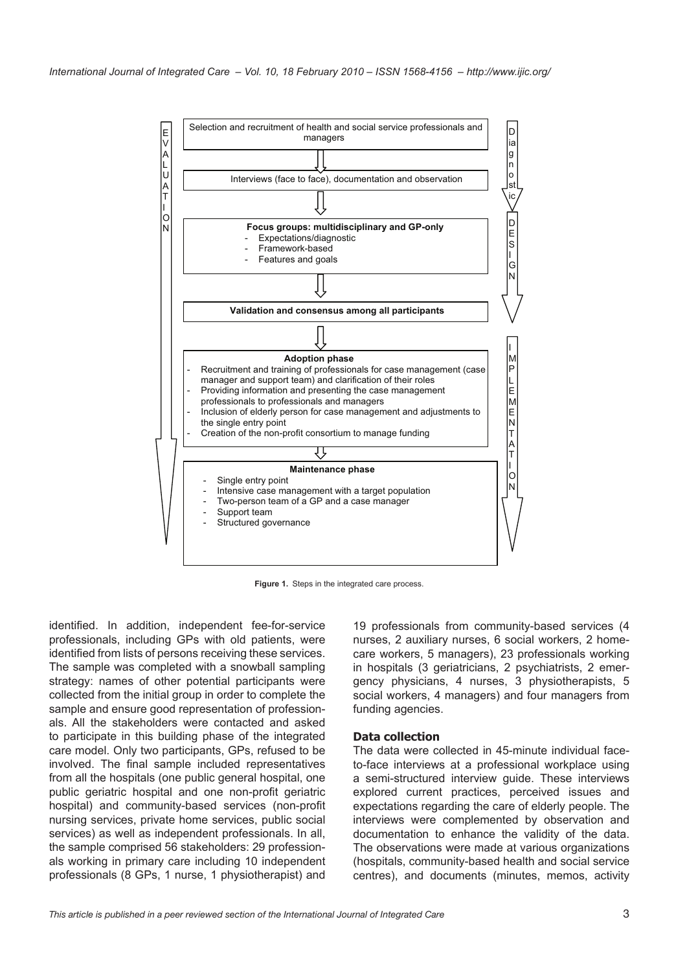<span id="page-2-0"></span>

**Figure 1.** Steps in the integrated care process.

identified. In addition, independent fee-for-service professionals, including GPs with old patients, were identified from lists of persons receiving these services. The sample was completed with a snowball sampling strategy: names of other potential participants were collected from the initial group in order to complete the sample and ensure good representation of professionals. All the stakeholders were contacted and asked to participate in this building phase of the integrated care model. Only two participants, GPs, refused to be involved. The final sample included representatives from all the hospitals (one public general hospital, one public geriatric hospital and one non-profit geriatric hospital) and community-based services (non-profit nursing services, private home services, public social services) as well as independent professionals. In all, the sample comprised 56 stakeholders: 29 professionals working in primary care including 10 independent professionals (8 GPs, 1 nurse, 1 physiotherapist) and

19 professionals from community-based services (4 nurses, 2 auxiliary nurses, 6 social workers, 2 homecare workers, 5 managers), 23 professionals working in hospitals (3 geriatricians, 2 psychiatrists, 2 emergency physicians, 4 nurses, 3 physiotherapists, 5 social workers, 4 managers) and four managers from funding agencies.

#### **Data collection**

The data were collected in 45-minute individual faceto-face interviews at a professional workplace using a semi-structured interview guide. These interviews explored current practices, perceived issues and expectations regarding the care of elderly people. The interviews were complemented by observation and documentation to enhance the validity of the data. The observations were made at various organizations (hospitals, community-based health and social service centres), and documents (minutes, memos, activity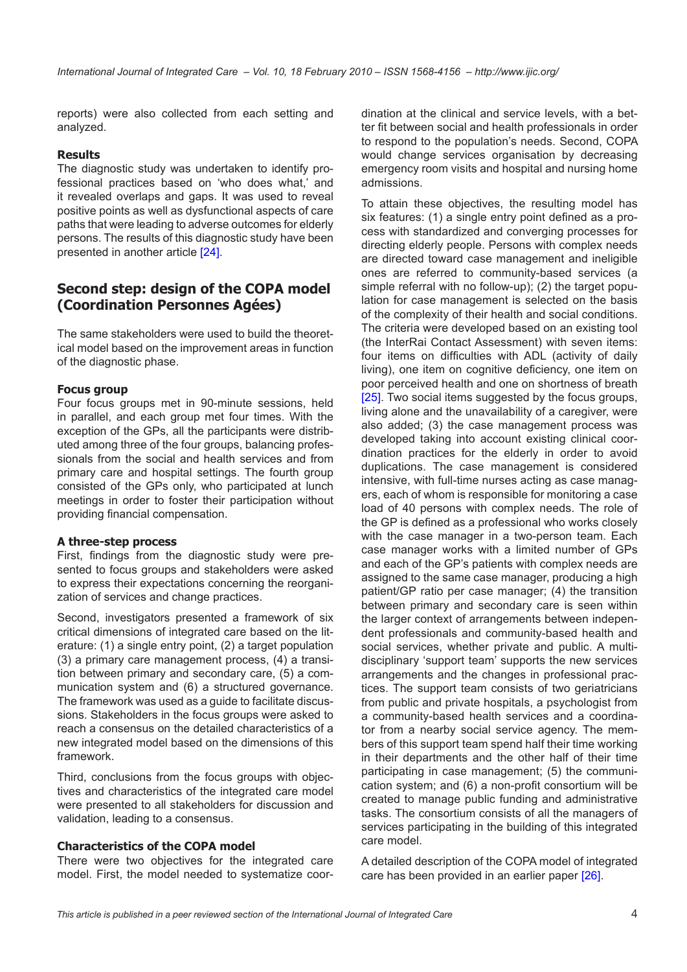reports) were also collected from each setting and analyzed.

#### **Results**

The diagnostic study was undertaken to identify professional practices based on 'who does what,' and it revealed overlaps and gaps. It was used to reveal positive points as well as dysfunctional aspects of care paths that were leading to adverse outcomes for elderly persons. The results of this diagnostic study have been presented in another article [\[24](#page-9-0)].

## **Second step: design of the COPA model (Coordination Personnes Agées)**

The same stakeholders were used to build the theoretical model based on the improvement areas in function of the diagnostic phase.

#### **Focus group**

Four focus groups met in 90-minute sessions, held in parallel, and each group met four times. With the exception of the GPs, all the participants were distributed among three of the four groups, balancing professionals from the social and health services and from primary care and hospital settings. The fourth group consisted of the GPs only, who participated at lunch meetings in order to foster their participation without providing financial compensation.

#### **A three-step process**

First, findings from the diagnostic study were presented to focus groups and stakeholders were asked to express their expectations concerning the reorganization of services and change practices.

Second, investigators presented a framework of six critical dimensions of integrated care based on the literature: (1) a single entry point, (2) a target population (3) a primary care management process, (4) a transition between primary and secondary care, (5) a communication system and (6) a structured governance. The framework was used as a guide to facilitate discussions. Stakeholders in the focus groups were asked to reach a consensus on the detailed characteristics of a new integrated model based on the dimensions of this framework.

Third, conclusions from the focus groups with objectives and characteristics of the integrated care model were presented to all stakeholders for discussion and validation, leading to a consensus.

### **Characteristics of the COPA model**

There were two objectives for the integrated care model. First, the model needed to systematize coor-

dination at the clinical and service levels, with a better fit between social and health professionals in order to respond to the population's needs. Second, COPA would change services organisation by decreasing emergency room visits and hospital and nursing home admissions.

To attain these objectives, the resulting model has six features: (1) a single entry point defined as a process with standardized and converging processes for directing elderly people. Persons with complex needs are directed toward case management and ineligible ones are referred to community-based services (a simple referral with no follow-up); (2) the target population for case management is selected on the basis of the complexity of their health and social conditions. The criteria were developed based on an existing tool (the InterRai Contact Assessment) with seven items: four items on difficulties with ADL (activity of daily living), one item on cognitive deficiency, one item on poor perceived health and one on shortness of breath [\[25](#page-9-0)]. Two social items suggested by the focus groups, living alone and the unavailability of a caregiver, were also added; (3) the case management process was developed taking into account existing clinical coordination practices for the elderly in order to avoid duplications. The case management is considered intensive, with full-time nurses acting as case managers, each of whom is responsible for monitoring a case load of 40 persons with complex needs. The role of the GP is defined as a professional who works closely with the case manager in a two-person team. Each case manager works with a limited number of GPs and each of the GP's patients with complex needs are assigned to the same case manager, producing a high patient/GP ratio per case manager; (4) the transition between primary and secondary care is seen within the larger context of arrangements between independent professionals and community-based health and social services, whether private and public. A multidisciplinary 'support team' supports the new services arrangements and the changes in professional practices. The support team consists of two geriatricians from public and private hospitals, a psychologist from a community-based health services and a coordinator from a nearby social service agency. The members of this support team spend half their time working in their departments and the other half of their time participating in case management; (5) the communication system; and (6) a non-profit consortium will be created to manage public funding and administrative tasks. The consortium consists of all the managers of services participating in the building of this integrated care model.

A detailed description of the COPA model of integrated care has been provided in an earlier paper [[26\]](#page-9-0).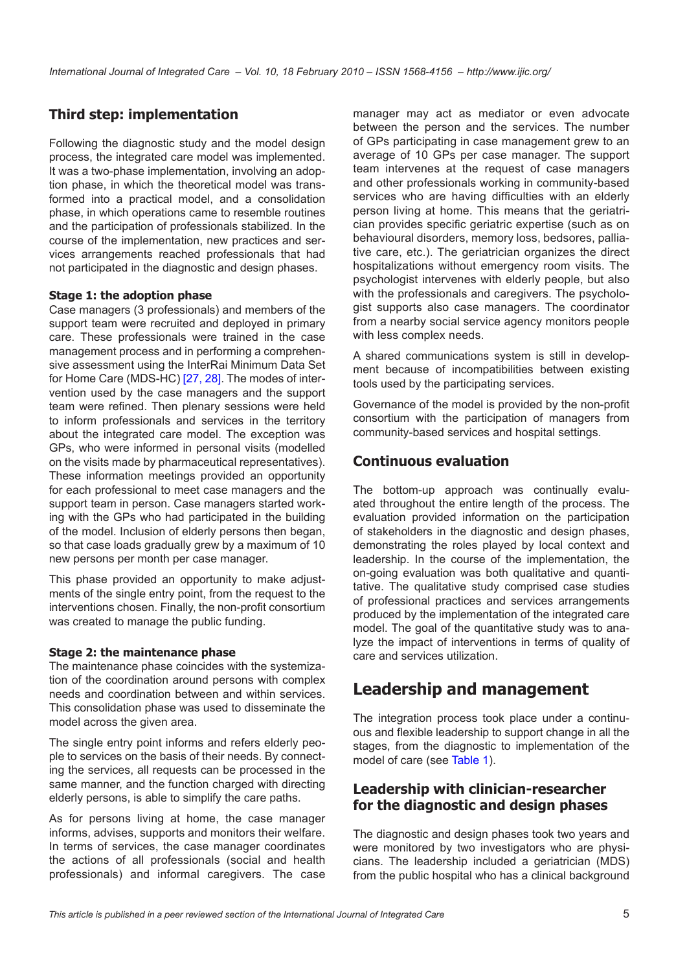## **Third step: implementation**

Following the diagnostic study and the model design process, the integrated care model was implemented. It was a two-phase implementation, involving an adoption phase, in which the theoretical model was transformed into a practical model, and a consolidation phase, in which operations came to resemble routines and the participation of professionals stabilized. In the course of the implementation, new practices and services arrangements reached professionals that had not participated in the diagnostic and design phases.

### **Stage 1: the adoption phase**

Case managers (3 professionals) and members of the support team were recruited and deployed in primary care. These professionals were trained in the case management process and in performing a comprehensive assessment using the InterRai Minimum Data Set for Home Care (MDS-HC) [\[27, 28\]](#page-9-0). The modes of intervention used by the case managers and the support team were refined. Then plenary sessions were held to inform professionals and services in the territory about the integrated care model. The exception was GPs, who were informed in personal visits (modelled on the visits made by pharmaceutical representatives). These information meetings provided an opportunity for each professional to meet case managers and the support team in person. Case managers started working with the GPs who had participated in the building of the model. Inclusion of elderly persons then began, so that case loads gradually grew by a maximum of 10 new persons per month per case manager.

This phase provided an opportunity to make adjustments of the single entry point, from the request to the interventions chosen. Finally, the non-profit consortium was created to manage the public funding.

### **Stage 2: the maintenance phase**

The maintenance phase coincides with the systemization of the coordination around persons with complex needs and coordination between and within services. This consolidation phase was used to disseminate the model across the given area.

The single entry point informs and refers elderly people to services on the basis of their needs. By connecting the services, all requests can be processed in the same manner, and the function charged with directing elderly persons, is able to simplify the care paths.

As for persons living at home, the case manager informs, advises, supports and monitors their welfare. In terms of services, the case manager coordinates the actions of all professionals (social and health professionals) and informal caregivers. The case

manager may act as mediator or even advocate between the person and the services. The number of GPs participating in case management grew to an average of 10 GPs per case manager. The support team intervenes at the request of case managers and other professionals working in community-based services who are having difficulties with an elderly person living at home. This means that the geriatrician provides specific geriatric expertise (such as on behavioural disorders, memory loss, bedsores, palliative care, etc.). The geriatrician organizes the direct hospitalizations without emergency room visits. The psychologist intervenes with elderly people, but also with the professionals and caregivers. The psychologist supports also case managers. The coordinator from a nearby social service agency monitors people with less complex needs.

A shared communications system is still in development because of incompatibilities between existing tools used by the participating services.

Governance of the model is provided by the non-profit consortium with the participation of managers from community-based services and hospital settings.

## **Continuous evaluation**

The bottom-up approach was continually evaluated throughout the entire length of the process. The evaluation provided information on the participation of stakeholders in the diagnostic and design phases, demonstrating the roles played by local context and leadership. In the course of the implementation, the on-going evaluation was both qualitative and quantitative. The qualitative study comprised case studies of professional practices and services arrangements produced by the implementation of the integrated care model. The goal of the quantitative study was to analyze the impact of interventions in terms of quality of care and services utilization.

# **Leadership and management**

The integration process took place under a continuous and flexible leadership to support change in all the stages, from the diagnostic to implementation of the model of care (see [Table 1\)](#page-5-0).

## **Leadership with clinician-researcher for the diagnostic and design phases**

The diagnostic and design phases took two years and were monitored by two investigators who are physicians. The leadership included a geriatrician (MDS) from the public hospital who has a clinical background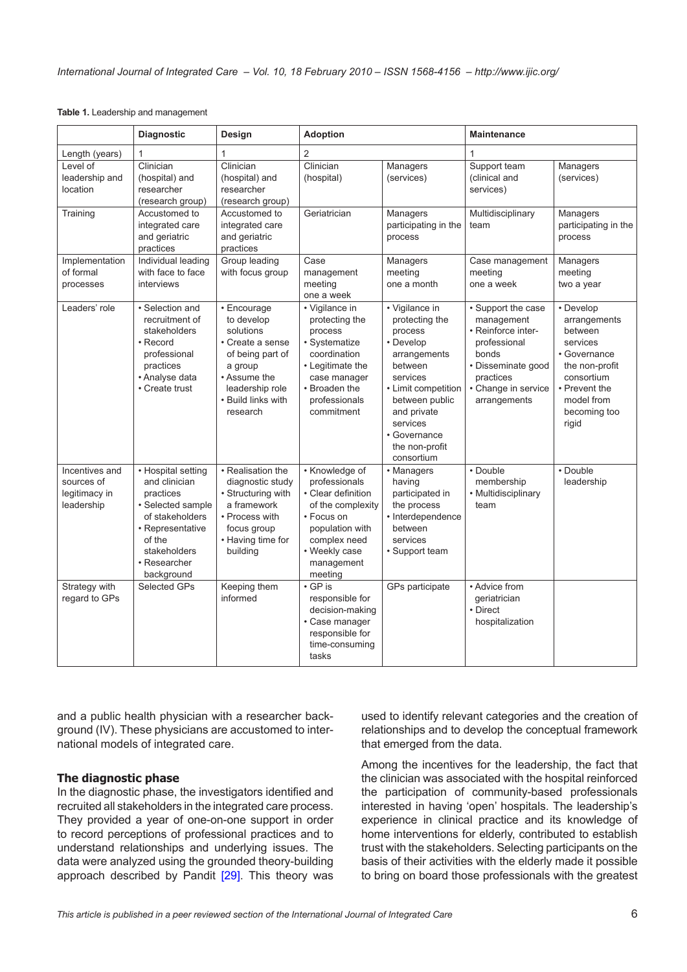<span id="page-5-0"></span>

|                                                             | <b>Diagnostic</b>                                                                                                                                                    | Design                                                                                                                                                         | <b>Adoption</b>                                                                                                                                                       |                                                                                                                                                                                                                     | <b>Maintenance</b>                                                                                                                                        |                                                                                                                                                          |
|-------------------------------------------------------------|----------------------------------------------------------------------------------------------------------------------------------------------------------------------|----------------------------------------------------------------------------------------------------------------------------------------------------------------|-----------------------------------------------------------------------------------------------------------------------------------------------------------------------|---------------------------------------------------------------------------------------------------------------------------------------------------------------------------------------------------------------------|-----------------------------------------------------------------------------------------------------------------------------------------------------------|----------------------------------------------------------------------------------------------------------------------------------------------------------|
| Length (years)                                              | 1                                                                                                                                                                    | $\mathbf{1}$                                                                                                                                                   | 2                                                                                                                                                                     |                                                                                                                                                                                                                     | 1                                                                                                                                                         |                                                                                                                                                          |
| Level of<br>leadership and<br>location                      | Clinician<br>(hospital) and<br>researcher<br>(research group)                                                                                                        | Clinician<br>(hospital) and<br>researcher<br>(research group)                                                                                                  | Clinician<br>(hospital)                                                                                                                                               | Managers<br>(services)                                                                                                                                                                                              | Support team<br>(clinical and<br>services)                                                                                                                | Managers<br>(services)                                                                                                                                   |
| Training                                                    | Accustomed to<br>integrated care<br>and geriatric<br>practices                                                                                                       | Accustomed to<br>integrated care<br>and geriatric<br>practices                                                                                                 | Geriatrician                                                                                                                                                          | Managers<br>participating in the<br>process                                                                                                                                                                         | Multidisciplinary<br>team                                                                                                                                 | Managers<br>participating in the<br>process                                                                                                              |
| Implementation<br>of formal<br>processes                    | Individual leading<br>with face to face<br>interviews                                                                                                                | Group leading<br>with focus group                                                                                                                              | Case<br>management<br>meeting<br>one a week                                                                                                                           | Managers<br>meeting<br>one a month                                                                                                                                                                                  | Case management<br>meeting<br>one a week                                                                                                                  | Managers<br>meeting<br>two a year                                                                                                                        |
| Leaders' role                                               | · Selection and<br>recruitment of<br>stakeholders<br>• Record<br>professional<br>practices<br>• Analyse data<br>• Create trust                                       | • Encourage<br>to develop<br>solutions<br>• Create a sense<br>of being part of<br>a group<br>• Assume the<br>leadership role<br>• Build links with<br>research | • Vigilance in<br>protecting the<br>process<br>• Systematize<br>coordination<br>• Legitimate the<br>case manager<br>• Broaden the<br>professionals<br>commitment      | • Vigilance in<br>protecting the<br>process<br>• Develop<br>arrangements<br>between<br>services<br>• Limit competition<br>between public<br>and private<br>services<br>• Governance<br>the non-profit<br>consortium | · Support the case<br>management<br>• Reinforce inter-<br>professional<br>bonds<br>· Disseminate good<br>practices<br>• Change in service<br>arrangements | • Develop<br>arrangements<br>between<br>services<br>• Governance<br>the non-profit<br>consortium<br>• Prevent the<br>model from<br>becoming too<br>rigid |
| Incentives and<br>sources of<br>legitimacy in<br>leadership | • Hospital setting<br>and clinician<br>practices<br>· Selected sample<br>of stakeholders<br>• Representative<br>of the<br>stakeholders<br>• Researcher<br>background | • Realisation the<br>diagnostic study<br>• Structuring with<br>a framework<br>• Process with<br>focus group<br>• Having time for<br>building                   | • Knowledge of<br>professionals<br>• Clear definition<br>of the complexity<br>• Focus on<br>population with<br>complex need<br>• Weekly case<br>management<br>meeting | • Managers<br>having<br>participated in<br>the process<br>• Interdependence<br>between<br>services<br>• Support team                                                                                                | • Double<br>membership<br>• Multidisciplinary<br>team                                                                                                     | • Double<br>leadership                                                                                                                                   |
| Strategy with<br>regard to GPs                              | Selected GPs                                                                                                                                                         | Keeping them<br>informed                                                                                                                                       | $\cdot$ GP is<br>responsible for<br>decision-making<br>• Case manager<br>responsible for<br>time-consuming<br>tasks                                                   | GPs participate                                                                                                                                                                                                     | • Advice from<br>geriatrician<br>• Direct<br>hospitalization                                                                                              |                                                                                                                                                          |

and a public health physician with a researcher background (IV). These physicians are accustomed to international models of integrated care.

### **The diagnostic phase**

In the diagnostic phase, the investigators identified and recruited all stakeholders in the integrated care process. They provided a year of one-on-one support in order to record perceptions of professional practices and to understand relationships and underlying issues. The data were analyzed using the grounded theory-building approach described by Pandit [\[29](#page-9-0)]. This theory was used to identify relevant categories and the creation of relationships and to develop the conceptual framework that emerged from the data.

Among the incentives for the leadership, the fact that the clinician was associated with the hospital reinforced the participation of community-based professionals interested in having 'open' hospitals. The leadership's experience in clinical practice and its knowledge of home interventions for elderly, contributed to establish trust with the stakeholders. Selecting participants on the basis of their activities with the elderly made it possible to bring on board those professionals with the greatest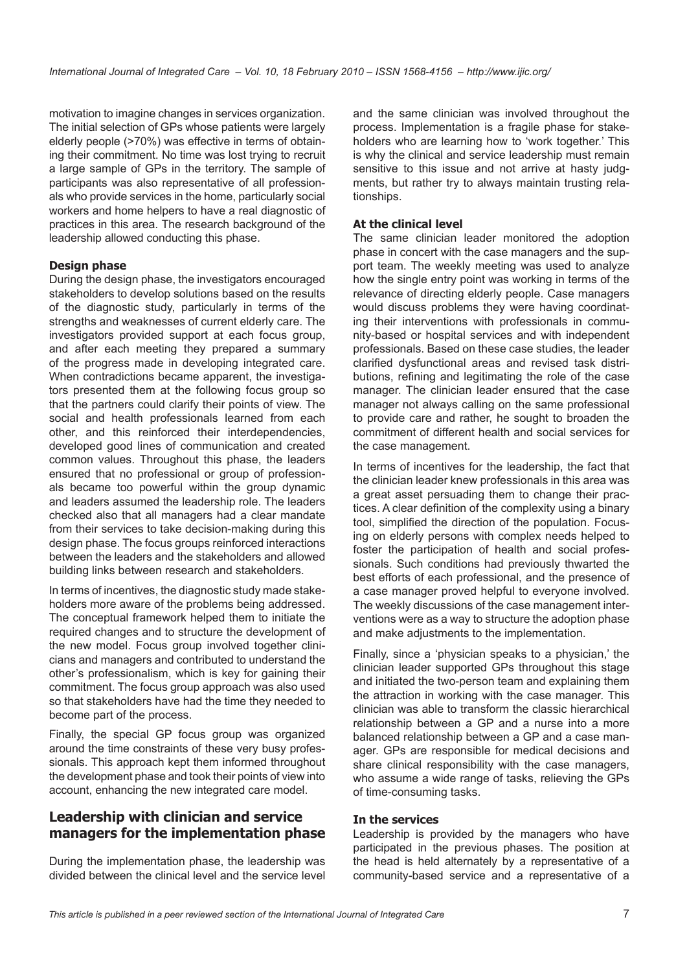motivation to imagine changes in services organization. The initial selection of GPs whose patients were largely elderly people (>70%) was effective in terms of obtaining their commitment. No time was lost trying to recruit a large sample of GPs in the territory. The sample of participants was also representative of all professionals who provide services in the home, particularly social workers and home helpers to have a real diagnostic of practices in this area. The research background of the leadership allowed conducting this phase.

### **Design phase**

During the design phase, the investigators encouraged stakeholders to develop solutions based on the results of the diagnostic study, particularly in terms of the strengths and weaknesses of current elderly care. The investigators provided support at each focus group, and after each meeting they prepared a summary of the progress made in developing integrated care. When contradictions became apparent, the investigators presented them at the following focus group so that the partners could clarify their points of view. The social and health professionals learned from each other, and this reinforced their interdependencies, developed good lines of communication and created common values. Throughout this phase, the leaders ensured that no professional or group of professionals became too powerful within the group dynamic and leaders assumed the leadership role. The leaders checked also that all managers had a clear mandate from their services to take decision-making during this design phase. The focus groups reinforced interactions between the leaders and the stakeholders and allowed building links between research and stakeholders.

In terms of incentives, the diagnostic study made stakeholders more aware of the problems being addressed. The conceptual framework helped them to initiate the required changes and to structure the development of the new model. Focus group involved together clinicians and managers and contributed to understand the other's professionalism, which is key for gaining their commitment. The focus group approach was also used so that stakeholders have had the time they needed to become part of the process.

Finally, the special GP focus group was organized around the time constraints of these very busy professionals. This approach kept them informed throughout the development phase and took their points of view into account, enhancing the new integrated care model.

## **Leadership with clinician and service managers for the implementation phase**

During the implementation phase, the leadership was divided between the clinical level and the service level and the same clinician was involved throughout the process. Implementation is a fragile phase for stakeholders who are learning how to 'work together.' This is why the clinical and service leadership must remain sensitive to this issue and not arrive at hasty judgments, but rather try to always maintain trusting relationships.

### **At the clinical level**

The same clinician leader monitored the adoption phase in concert with the case managers and the support team. The weekly meeting was used to analyze how the single entry point was working in terms of the relevance of directing elderly people. Case managers would discuss problems they were having coordinating their interventions with professionals in community-based or hospital services and with independent professionals. Based on these case studies, the leader clarified dysfunctional areas and revised task distributions, refining and legitimating the role of the case manager. The clinician leader ensured that the case manager not always calling on the same professional to provide care and rather, he sought to broaden the commitment of different health and social services for the case management.

In terms of incentives for the leadership, the fact that the clinician leader knew professionals in this area was a great asset persuading them to change their practices. A clear definition of the complexity using a binary tool, simplified the direction of the population. Focusing on elderly persons with complex needs helped to foster the participation of health and social professionals. Such conditions had previously thwarted the best efforts of each professional, and the presence of a case manager proved helpful to everyone involved. The weekly discussions of the case management interventions were as a way to structure the adoption phase and make adjustments to the implementation.

Finally, since a 'physician speaks to a physician,' the clinician leader supported GPs throughout this stage and initiated the two-person team and explaining them the attraction in working with the case manager. This clinician was able to transform the classic hierarchical relationship between a GP and a nurse into a more balanced relationship between a GP and a case manager. GPs are responsible for medical decisions and share clinical responsibility with the case managers, who assume a wide range of tasks, relieving the GPs of time-consuming tasks.

#### **In the services**

Leadership is provided by the managers who have participated in the previous phases. The position at the head is held alternately by a representative of a community-based service and a representative of a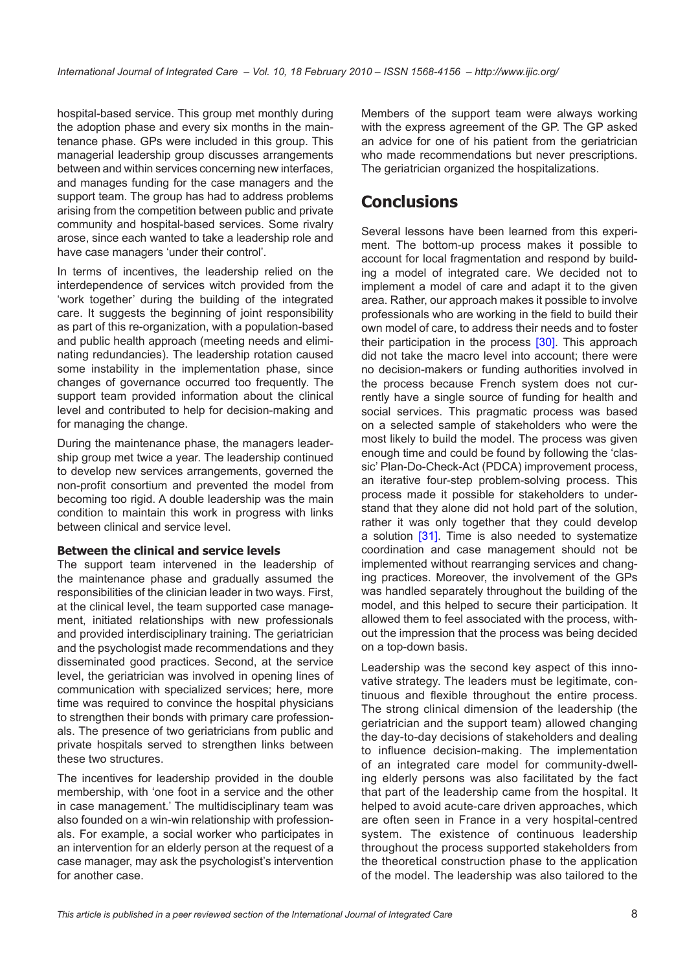hospital-based service. This group met monthly during the adoption phase and every six months in the maintenance phase. GPs were included in this group. This managerial leadership group discusses arrangements between and within services concerning new interfaces, and manages funding for the case managers and the support team. The group has had to address problems arising from the competition between public and private community and hospital-based services. Some rivalry arose, since each wanted to take a leadership role and have case managers 'under their control'.

In terms of incentives, the leadership relied on the interdependence of services witch provided from the 'work together' during the building of the integrated care. It suggests the beginning of joint responsibility as part of this re-organization, with a population-based and public health approach (meeting needs and eliminating redundancies). The leadership rotation caused some instability in the implementation phase, since changes of governance occurred too frequently. The support team provided information about the clinical level and contributed to help for decision-making and for managing the change.

During the maintenance phase, the managers leadership group met twice a year. The leadership continued to develop new services arrangements, governed the non-profit consortium and prevented the model from becoming too rigid. A double leadership was the main condition to maintain this work in progress with links between clinical and service level.

### **Between the clinical and service levels**

The support team intervened in the leadership of the maintenance phase and gradually assumed the responsibilities of the clinician leader in two ways. First, at the clinical level, the team supported case management, initiated relationships with new professionals and provided interdisciplinary training. The geriatrician and the psychologist made recommendations and they disseminated good practices. Second, at the service level, the geriatrician was involved in opening lines of communication with specialized services; here, more time was required to convince the hospital physicians to strengthen their bonds with primary care professionals. The presence of two geriatricians from public and private hospitals served to strengthen links between these two structures.

The incentives for leadership provided in the double membership, with 'one foot in a service and the other in case management.' The multidisciplinary team was also founded on a win-win relationship with professionals. For example, a social worker who participates in an intervention for an elderly person at the request of a case manager, may ask the psychologist's intervention for another case.

Members of the support team were always working with the express agreement of the GP. The GP asked an advice for one of his patient from the geriatrician who made recommendations but never prescriptions. The geriatrician organized the hospitalizations.

# **Conclusions**

Several lessons have been learned from this experiment. The bottom-up process makes it possible to account for local fragmentation and respond by building a model of integrated care. We decided not to implement a model of care and adapt it to the given area. Rather, our approach makes it possible to involve professionals who are working in the field to build their own model of care, to address their needs and to foster their participation in the process [\[30](#page-9-0)]. This approach did not take the macro level into account; there were no decision-makers or funding authorities involved in the process because French system does not currently have a single source of funding for health and social services. This pragmatic process was based on a selected sample of stakeholders who were the most likely to build the model. The process was given enough time and could be found by following the 'classic' Plan-Do-Check-Act (PDCA) improvement process, an iterative four-step problem-solving process. This process made it possible for stakeholders to understand that they alone did not hold part of the solution, rather it was only together that they could develop a solution [[31\]](#page-9-0). Time is also needed to systematize coordination and case management should not be implemented without rearranging services and changing practices. Moreover, the involvement of the GPs was handled separately throughout the building of the model, and this helped to secure their participation. It allowed them to feel associated with the process, without the impression that the process was being decided on a top-down basis.

Leadership was the second key aspect of this innovative strategy. The leaders must be legitimate, continuous and flexible throughout the entire process. The strong clinical dimension of the leadership (the geriatrician and the support team) allowed changing the day-to-day decisions of stakeholders and dealing to influence decision-making. The implementation of an integrated care model for community-dwelling elderly persons was also facilitated by the fact that part of the leadership came from the hospital. It helped to avoid acute-care driven approaches, which are often seen in France in a very hospital-centred system. The existence of continuous leadership throughout the process supported stakeholders from the theoretical construction phase to the application of the model. The leadership was also tailored to the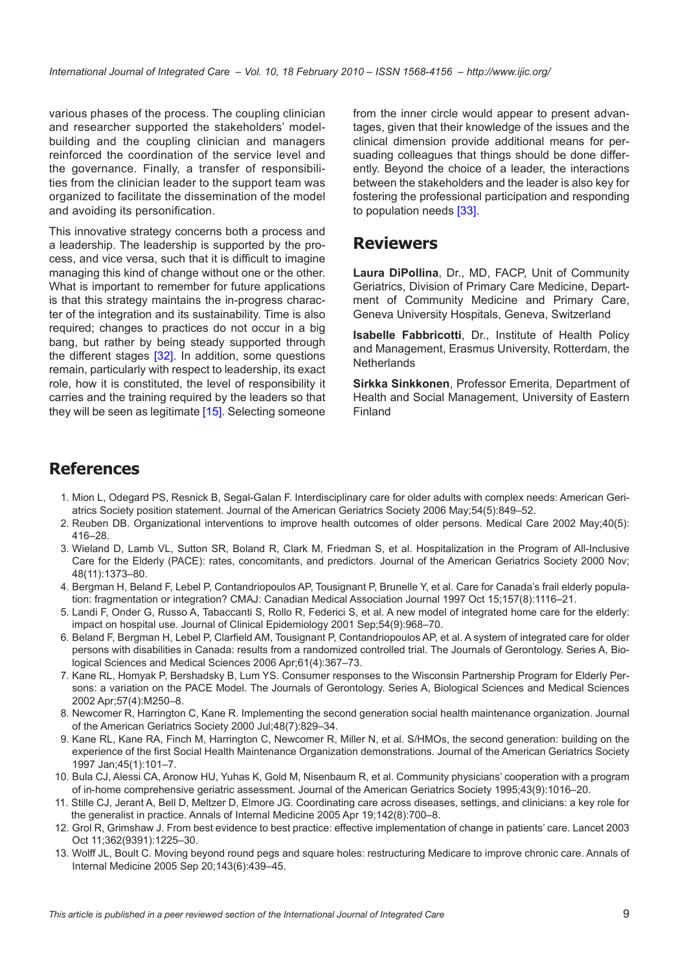<span id="page-8-0"></span>various phases of the process. The coupling clinician and researcher supported the stakeholders' modelbuilding and the coupling clinician and managers reinforced the coordination of the service level and the governance. Finally, a transfer of responsibilities from the clinician leader to the support team was organized to facilitate the dissemination of the model and avoiding its personification.

This innovative strategy concerns both a process and a leadership. The leadership is supported by the process, and vice versa, such that it is difficult to imagine managing this kind of change without one or the other. What is important to remember for future applications is that this strategy maintains the in-progress character of the integration and its sustainability. Time is also required; changes to practices do not occur in a big bang, but rather by being steady supported through the different stages [\[32](#page-9-0)]. In addition, some questions remain, particularly with respect to leadership, its exact role, how it is constituted, the level of responsibility it carries and the training required by the leaders so that they will be seen as legitimate [\[15\]](#page-9-0). Selecting someone

from the inner circle would appear to present advantages, given that their knowledge of the issues and the clinical dimension provide additional means for persuading colleagues that things should be done differently. Beyond the choice of a leader, the interactions between the stakeholders and the leader is also key for fostering the professional participation and responding to population needs [[33](#page-9-0)].

## **Reviewers**

**Laura DiPollina**, Dr., MD, FACP, Unit of Community Geriatrics, Division of Primary Care Medicine, Department of Community Medicine and Primary Care, Geneva University Hospitals, Geneva, Switzerland

**Isabelle Fabbricotti**, Dr., Institute of Health Policy and Management, Erasmus University, Rotterdam, the **Netherlands** 

**Sirkka Sinkkonen**, Professor Emerita, Department of Health and Social Management, University of Eastern Finland

## **References**

- 1. Mion L, Odegard PS, Resnick B, Segal-Galan F. Interdisciplinary care for older adults with complex needs: American Geriatrics Society position statement. Journal of the American Geriatrics Society 2006 May;54(5):849–52.
- 2. Reuben DB. Organizational interventions to improve health outcomes of older persons. Medical Care 2002 May;40(5): 416–28.
- 3. Wieland D, Lamb VL, Sutton SR, Boland R, Clark M, Friedman S, et al. Hospitalization in the Program of All-Inclusive Care for the Elderly (PACE): rates, concomitants, and predictors. Journal of the American Geriatrics Society 2000 Nov; 48(11):1373–80.
- 4. Bergman H, Beland F, Lebel P, Contandriopoulos AP, Tousignant P, Brunelle Y, et al. Care for Canada's frail elderly population: fragmentation or integration? CMAJ: Canadian Medical Association Journal 1997 Oct 15;157(8):1116–21.
- 5. Landi F, Onder G, Russo A, Tabaccanti S, Rollo R, Federici S, et al. A new model of integrated home care for the elderly: impact on hospital use. Journal of Clinical Epidemiology 2001 Sep;54(9):968–70.
- 6. Beland F, Bergman H, Lebel P, Clarfield AM, Tousignant P, Contandriopoulos AP, et al. A system of integrated care for older persons with disabilities in Canada: results from a randomized controlled trial. The Journals of Gerontology. Series A, Biological Sciences and Medical Sciences 2006 Apr;61(4):367–73.
- 7. Kane RL, Homyak P, Bershadsky B, Lum YS. Consumer responses to the Wisconsin Partnership Program for Elderly Persons: a variation on the PACE Model. The Journals of Gerontology. Series A, Biological Sciences and Medical Sciences 2002 Apr;57(4):M250–8.
- 8. Newcomer R, Harrington C, Kane R. Implementing the second generation social health maintenance organization. Journal of the American Geriatrics Society 2000 Jul;48(7):829–34.
- 9. Kane RL, Kane RA, Finch M, Harrington C, Newcomer R, Miller N, et al. S/HMOs, the second generation: building on the experience of the first Social Health Maintenance Organization demonstrations. Journal of the American Geriatrics Society 1997 Jan;45(1):101–7.
- 10. Bula CJ, Alessi CA, Aronow HU, Yuhas K, Gold M, Nisenbaum R, et al. Community physicians' cooperation with a program of in-home comprehensive geriatric assessment. Journal of the American Geriatrics Society 1995;43(9):1016–20.
- 11. Stille CJ, Jerant A, Bell D, Meltzer D, Elmore JG. Coordinating care across diseases, settings, and clinicians: a key role for the generalist in practice. Annals of Internal Medicine 2005 Apr 19;142(8):700–8.
- 12. Grol R, Grimshaw J. From best evidence to best practice: effective implementation of change in patients' care. Lancet 2003 Oct 11;362(9391):1225–30.
- 13. Wolff JL, Boult C. Moving beyond round pegs and square holes: restructuring Medicare to improve chronic care. Annals of Internal Medicine 2005 Sep 20;143(6):439–45.